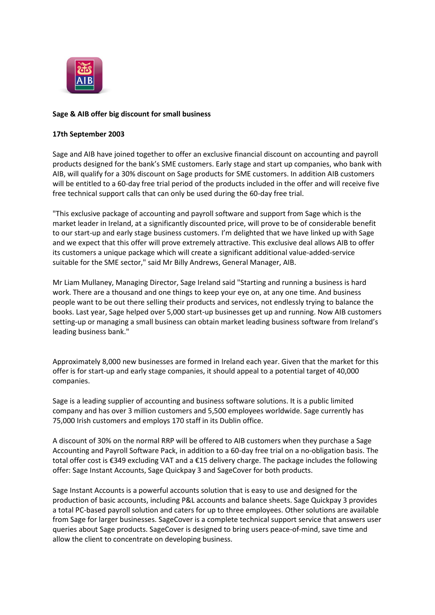

## **Sage & AIB offer big discount for small business**

## **17th September 2003**

Sage and AIB have joined together to offer an exclusive financial discount on accounting and payroll products designed for the bank's SME customers. Early stage and start up companies, who bank with AIB, will qualify for a 30% discount on Sage products for SME customers. In addition AIB customers will be entitled to a 60-day free trial period of the products included in the offer and will receive five free technical support calls that can only be used during the 60-day free trial.

"This exclusive package of accounting and payroll software and support from Sage which is the market leader in Ireland, at a significantly discounted price, will prove to be of considerable benefit to our start-up and early stage business customers. I'm delighted that we have linked up with Sage and we expect that this offer will prove extremely attractive. This exclusive deal allows AIB to offer its customers a unique package which will create a significant additional value-added-service suitable for the SME sector," said Mr Billy Andrews, General Manager, AIB.

Mr Liam Mullaney, Managing Director, Sage Ireland said "Starting and running a business is hard work. There are a thousand and one things to keep your eye on, at any one time. And business people want to be out there selling their products and services, not endlessly trying to balance the books. Last year, Sage helped over 5,000 start-up businesses get up and running. Now AIB customers setting-up or managing a small business can obtain market leading business software from Ireland's leading business bank."

Approximately 8,000 new businesses are formed in Ireland each year. Given that the market for this offer is for start-up and early stage companies, it should appeal to a potential target of 40,000 companies.

Sage is a leading supplier of accounting and business software solutions. It is a public limited company and has over 3 million customers and 5,500 employees worldwide. Sage currently has 75,000 Irish customers and employs 170 staff in its Dublin office.

A discount of 30% on the normal RRP will be offered to AIB customers when they purchase a Sage Accounting and Payroll Software Pack, in addition to a 60-day free trial on a no-obligation basis. The total offer cost is €349 excluding VAT and a €15 delivery charge. The package includes the following offer: Sage Instant Accounts, Sage Quickpay 3 and SageCover for both products.

Sage Instant Accounts is a powerful accounts solution that is easy to use and designed for the production of basic accounts, including P&L accounts and balance sheets. Sage Quickpay 3 provides a total PC-based payroll solution and caters for up to three employees. Other solutions are available from Sage for larger businesses. SageCover is a complete technical support service that answers user queries about Sage products. SageCover is designed to bring users peace-of-mind, save time and allow the client to concentrate on developing business.